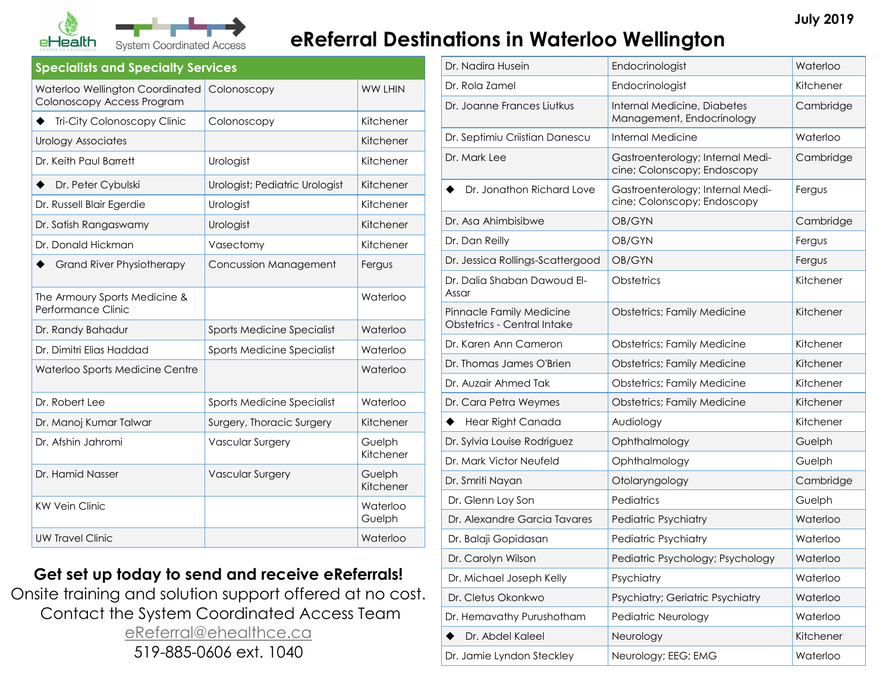

# **Exam Coordinated Access eReferral Destinations in Waterloo Wellington**

#### **Specialists and Specialty Services**

| Waterloo Wellington Coordinated<br>Colonoscopy Access Program | Colonoscopy                    | <b>WW LHIN</b>      |
|---------------------------------------------------------------|--------------------------------|---------------------|
| Tri-City Colonoscopy Clinic                                   | Colonoscopy                    | Kitchener           |
| Urology Associates                                            |                                | Kitchener           |
| Dr. Keith Paul Barrett                                        | Urologist                      | Kitchener           |
| Dr. Peter Cybulski                                            | Urologist; Pediatric Urologist | Kitchener           |
| Dr. Russell Blair Egerdie                                     | Urologist                      | Kitchener           |
| Dr. Satish Rangaswamy                                         | Urologist                      | Kitchener           |
| Dr. Donald Hickman                                            | Vasectomy                      | Kitchener           |
| <b>Grand River Physiotherapy</b>                              | Concussion Management          | Fergus              |
| The Armoury Sports Medicine &<br>Performance Clinic           |                                | Waterloo            |
| Dr. Randy Bahadur                                             | Sports Medicine Specialist     | Waterloo            |
| Dr. Dimitri Elias Haddad                                      | Sports Medicine Specialist     | Waterloo            |
| Waterloo Sports Medicine Centre                               |                                | Waterloo            |
| Dr. Robert Lee                                                | Sports Medicine Specialist     | Waterloo            |
| Dr. Manoj Kumar Talwar                                        | Surgery, Thoracic Surgery      | Kitchener           |
| Dr. Afshin Jahromi                                            | <b>Vascular Surgery</b>        | Guelph<br>Kitchener |
| Dr. Hamid Nasser                                              | <b>Vascular Surgery</b>        | Guelph<br>Kitchener |
| <b>KW Vein Clinic</b>                                         |                                | Waterloo<br>Guelph  |
| <b>UW Travel Clinic</b>                                       |                                | Waterloo            |

### **Get set up today to send and receive eReferrals!**

Onsite training and solution support offered at no cost. Contact the System Coordinated Access Team [eReferral@ehealthce.ca](mailto:eReferral@ehealthce.ca) 519-885-0606 ext. 1040

| Dr. Nadira Husein                                              | Endocrinologist                                                 | Waterloo  |
|----------------------------------------------------------------|-----------------------------------------------------------------|-----------|
| Dr. Rola Zamel                                                 | Endocrinologist                                                 | Kitchener |
| Dr. Joanne Frances Liutkus                                     | Internal Medicine, Diabetes<br>Management, Endocrinology        | Cambridge |
| Dr. Septimiu Criistian Danescu                                 | Internal Medicine                                               | Waterloo  |
| Dr. Mark Lee                                                   | Gastroenterology; Internal Medi-<br>cine; Colonscopy; Endoscopy | Cambridge |
| Dr. Jonathon Richard Love                                      | Gastroenterology; Internal Medi-<br>cine; Colonscopy; Endoscopy | Fergus    |
| Dr. Asa Ahimbisibwe                                            | OB/GYN                                                          | Cambridge |
| Dr. Dan Reilly                                                 | OB/GYN                                                          | Fergus    |
| Dr. Jessica Rollings-Scattergood                               | OB/GYN                                                          | Fergus    |
| Dr. Dalia Shaban Dawoud El-<br>Assar                           | Obstetrics                                                      | Kitchener |
| Pinnacle Family Medicine<br><b>Obstetrics - Central Intake</b> | <b>Obstetrics; Family Medicine</b>                              | Kitchener |
| Dr. Karen Ann Cameron                                          | <b>Obstetrics; Family Medicine</b>                              | Kitchener |
| Dr. Thomas James O'Brien                                       | <b>Obstetrics; Family Medicine</b>                              | Kitchener |
| Dr. Auzair Ahmed Tak                                           | <b>Obstetrics; Family Medicine</b>                              | Kitchener |
| Dr. Cara Petra Weymes                                          | <b>Obstetrics; Family Medicine</b>                              | Kitchener |
| Hear Right Canada                                              | Audiology                                                       | Kitchener |
| Dr. Sylvia Louise Rodriguez                                    | Ophthalmology                                                   | Guelph    |
| Dr. Mark Victor Neufeld                                        | Ophthalmology                                                   | Guelph    |
| Dr. Smriti Nayan                                               | Otolaryngology                                                  | Cambridge |
| Dr. Glenn Loy Son                                              | Pediatrics                                                      | Guelph    |
| Dr. Alexandre Garcia Tavares                                   | <b>Pediatric Psychiatry</b>                                     | Waterloo  |
| Dr. Balaji Gopidasan                                           | <b>Pediatric Psychiatry</b>                                     | Waterloo  |
| Dr. Carolyn Wilson                                             | Pediatric Psychology; Psychology                                | Waterloo  |
| Dr. Michael Joseph Kelly                                       | Psychiatry                                                      | Waterloo  |
| Dr. Cletus Okonkwo                                             | Psychiatry; Geriatric Psychiatry                                | Waterloo  |
| Dr. Hemavathy Purushotham                                      | Pediatric Neurology                                             | Waterloo  |
| Dr. Abdel Kaleel                                               | Neurology                                                       | Kitchener |
| Dr. Jamie Lyndon Steckley                                      | Neurology; EEG; EMG                                             | Waterloo  |